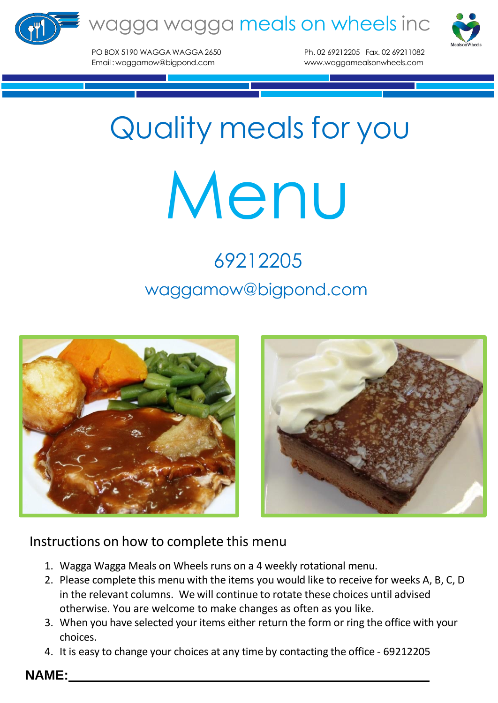



PO BOX 5190 WAGGA WAGGA2650 Ph. 02 69212205 Fax. 02 69211082 Email : [waggamow@bigpond.com](mailto:waggamow@bigpond.com) [www.waggamealsonwheels.com](http://www.waggamealsonwheels.com/)

## Quality meals for you

## Menu

## 69212205 [waggamow@bigpond.com](mailto:waggamow@bigpond.com)



## Instructions on how to complete this menu

- 1. Wagga Wagga Meals on Wheels runs on a 4 weekly rotational menu.
- 2. Please complete this menu with the items you would like to receive for weeks A, B, C, D in the relevant columns. We will continue to rotate these choices until advised otherwise. You are welcome to make changes as often as you like.
- 3. When you have selected your items either return the form or ring the office with your choices.
- 4. It is easy to change your choices at any time by contacting the office 69212205

**NAME:**